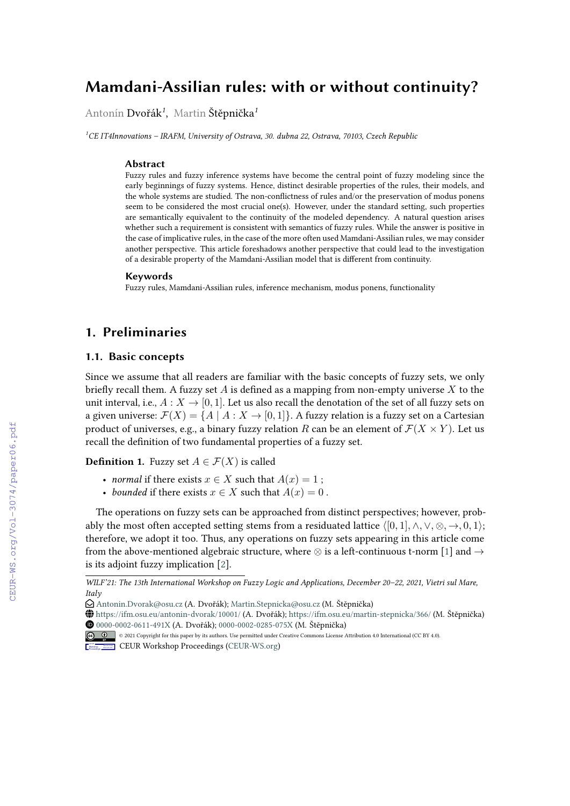# **Mamdani-Assilian rules: with or without continuity?**

Antonín Dvořák*<sup>1</sup>* , Martin Štěpnička*<sup>1</sup>*

*<sup>1</sup>CE IT4Innovations – IRAFM, University of Ostrava, 30. dubna 22, Ostrava, 70103, Czech Republic*

#### **Abstract**

Fuzzy rules and fuzzy inference systems have become the central point of fuzzy modeling since the early beginnings of fuzzy systems. Hence, distinct desirable properties of the rules, their models, and the whole systems are studied. The non-conflictness of rules and/or the preservation of modus ponens seem to be considered the most crucial one(s). However, under the standard setting, such properties are semantically equivalent to the continuity of the modeled dependency. A natural question arises whether such a requirement is consistent with semantics of fuzzy rules. While the answer is positive in the case of implicative rules, in the case of the more often used Mamdani-Assilian rules, we may consider another perspective. This article foreshadows another perspective that could lead to the investigation of a desirable property of the Mamdani-Assilian model that is different from continuity.

#### **Keywords**

Fuzzy rules, Mamdani-Assilian rules, inference mechanism, modus ponens, functionality

## **1. Preliminaries**

#### **1.1. Basic concepts**

Since we assume that all readers are familiar with the basic concepts of fuzzy sets, we only briefly recall them. A fuzzy set  $A$  is defined as a mapping from non-empty universe  $X$  to the unit interval, i.e.,  $A: X \rightarrow [0, 1]$ . Let us also recall the denotation of the set of all fuzzy sets on a given universe:  $\mathcal{F}(X) = \{A \mid A : X \to [0, 1]\}$ . A fuzzy relation is a fuzzy set on a Cartesian product of universes, e.g., a binary fuzzy relation R can be an element of  $\mathcal{F}(X \times Y)$ . Let us recall the definition of two fundamental properties of a fuzzy set.

**Definition 1.** Fuzzy set  $A \in \mathcal{F}(X)$  is called

- *normal* if there exists  $x \in X$  such that  $A(x) = 1$ ;
- *bounded* if there exists  $x \in X$  such that  $A(x) = 0$ .

The operations on fuzzy sets can be approached from distinct perspectives; however, probably the most often accepted setting stems from a residuated lattice  $\langle [0,1], \wedge, \vee, \otimes, \rightarrow, 0, 1 \rangle$ ; therefore, we adopt it too. Thus, any operations on fuzzy sets appearing in this article come from the above-mentioned algebraic structure, where  $\otimes$  is a left-continuous t-norm [\[1\]](#page--1-0) and  $\rightarrow$ is its adjoint fuzzy implication [\[2\]](#page--1-1).

*WILF'21: The 13th International Workshop on Fuzzy Logic and Applications, December 20–22, 2021, Vietri sul Mare, Italy*

 $\bigcirc$  [Antonin.Dvorak@osu.cz](mailto:Antonin.Dvorak@osu.cz) (A. Dvořák): [Martin.Stepnicka@osu.cz](mailto:Martin.Stepnicka@osu.cz) (M. Štěpnička)

<sup>~</sup> <https://ifm.osu.eu/antonin-dvorak/10001/> (A. Dvořák); <https://ifm.osu.eu/martin-stepnicka/366/> (M. Štěpnička) [0000-0002-0611-491X](https://orcid.org/0000-0002-0611-491X) (A. Dvořák); [0000-0002-0285-075X](https://orcid.org/0000-0002-0285-075X) (M. Štěpnička)

<sup>©</sup> 2021 Copyright for this paper by its authors. Use permitted under Creative Commons License Attribution 4.0 International (CC BY 4.0).

CEUR Workshop [Proceedings](http://ceur-ws.org) [\(CEUR-WS.org\)](http://ceur-ws.org)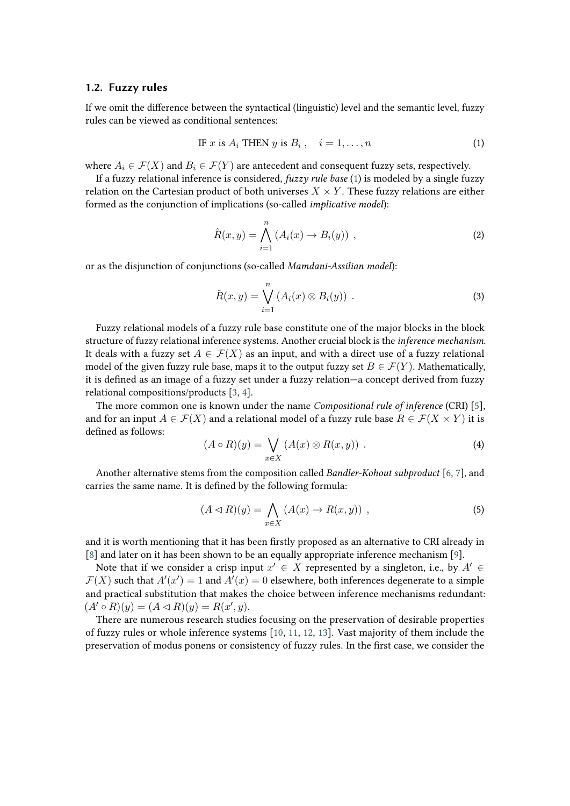#### **1.2. Fuzzy rules**

If we omit the difference between the syntactical (linguistic) level and the semantic level, fuzzy rules can be viewed as conditional sentences:

<span id="page-1-0"></span>IF *x* is 
$$
A_i
$$
 THEN *y* is  $B_i$ ,  $i = 1, ..., n$  (1)

where  $A_i \in \mathcal{F}(X)$  and  $B_i \in \mathcal{F}(Y)$  are antecedent and consequent fuzzy sets, respectively.

If a fuzzy relational inference is considered, *fuzzy rule base* [\(1\)](#page-1-0) is modeled by a single fuzzy relation on the Cartesian product of both universes  $X \times Y$ . These fuzzy relations are either formed as the conjunction of implications (so-called *implicative model*):

<span id="page-1-1"></span>
$$
\hat{R}(x,y) = \bigwedge_{i=1}^{n} \left( A_i(x) \to B_i(y) \right) , \qquad (2)
$$

or as the disjunction of conjunctions (so-called *Mamdani-Assilian model*):

$$
\check{R}(x,y) = \bigvee_{i=1}^{n} (A_i(x) \otimes B_i(y)) .
$$
 (3)

Fuzzy relational models of a fuzzy rule base constitute one of the major blocks in the block structure of fuzzy relational inference systems. Another crucial block is the *inference mechanism*. It deals with a fuzzy set  $A \in \mathcal{F}(X)$  as an input, and with a direct use of a fuzzy relational model of the given fuzzy rule base, maps it to the output fuzzy set  $B \in \mathcal{F}(Y)$ . Mathematically, it is defined as an image of a fuzzy set under a fuzzy relation—a concept derived from fuzzy relational compositions/products [\[3,](#page-7-0) [4\]](#page-7-1).

The more common one is known under the name *Compositional rule of inference* (CRI) [\[5\]](#page-7-2), and for an input  $A \in \mathcal{F}(X)$  and a relational model of a fuzzy rule base  $R \in \mathcal{F}(X \times Y)$  it is defined as follows:

$$
(A \circ R)(y) = \bigvee_{x \in X} (A(x) \otimes R(x, y)) . \tag{4}
$$

Another alternative stems from the composition called *Bandler-Kohout subproduct* [\[6,](#page-7-3) [7\]](#page-7-4), and carries the same name. It is defined by the following formula:

$$
(A \triangleleft R)(y) = \bigwedge_{x \in X} (A(x) \to R(x, y)) \tag{5}
$$

and it is worth mentioning that it has been firstly proposed as an alternative to CRI already in [\[8\]](#page-8-0) and later on it has been shown to be an equally appropriate inference mechanism [\[9\]](#page-8-1).

Note that if we consider a crisp input  $x' \in X$  represented by a singleton, i.e., by  $A' \in X$  $\mathcal{F}(X)$  such that  $A'(x') = 1$  and  $A'(x) = 0$  elsewhere, both inferences degenerate to a simple and practical substitution that makes the choice between inference mechanisms redundant:  $(A' \circ R)(y) = (A \triangleleft R)(y) = R(x', y).$ 

There are numerous research studies focusing on the preservation of desirable properties of fuzzy rules or whole inference systems [\[10,](#page-8-2) [11,](#page-8-3) [12,](#page-8-4) [13\]](#page-8-5). Vast majority of them include the preservation of modus ponens or consistency of fuzzy rules. In the first case, we consider the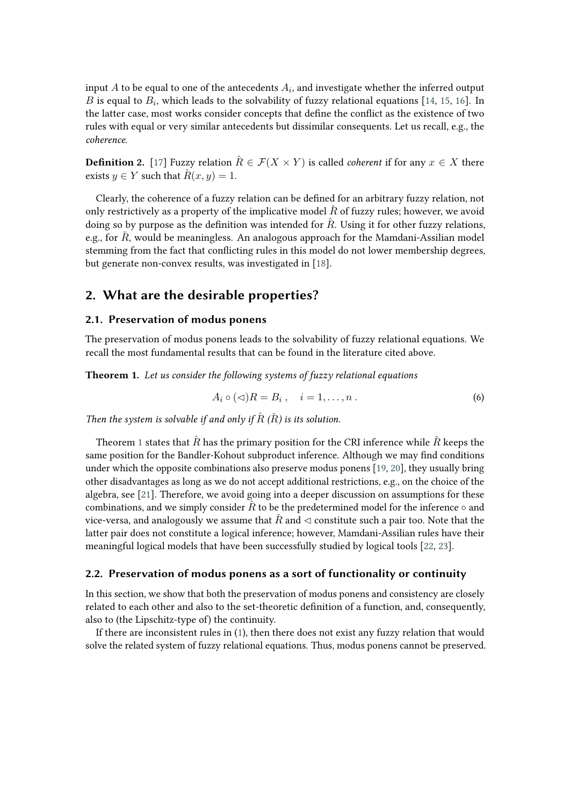input  $A$  to be equal to one of the antecedents  $A_i$ , and investigate whether the inferred output  $\overline{B}$  is equal to  $\overline{B_i}$ , which leads to the solvability of fuzzy relational equations [\[14,](#page-8-6) [15,](#page-8-7) [16\]](#page-8-8). In the latter case, most works consider concepts that define the conflict as the existence of two rules with equal or very similar antecedents but dissimilar consequents. Let us recall, e.g., the *coherence*.

**Definition 2.** [\[17\]](#page-8-9) Fuzzy relation  $\hat{R} \in \mathcal{F}(X \times Y)$  is called *coherent* if for any  $x \in X$  there exists  $y \in Y$  such that  $\hat{R}(x, y) = 1$ .

Clearly, the coherence of a fuzzy relation can be defined for an arbitrary fuzzy relation, not only restrictively as a property of the implicative model  $\hat{R}$  of fuzzy rules; however, we avoid doing so by purpose as the definition was intended for  $\hat{R}$ . Using it for other fuzzy relations, e.g., for  $\check{R}$ , would be meaningless. An analogous approach for the Mamdani-Assilian model stemming from the fact that conflicting rules in this model do not lower membership degrees, but generate non-convex results, was investigated in [\[18\]](#page-8-10).

## **2. What are the desirable properties?**

### **2.1. Preservation of modus ponens**

The preservation of modus ponens leads to the solvability of fuzzy relational equations. We recall the most fundamental results that can be found in the literature cited above.

<span id="page-2-0"></span>**Theorem 1.** *Let us consider the following systems of fuzzy relational equations*

<span id="page-2-1"></span>
$$
A_i \circ (\lhd)R = B_i \,, \quad i = 1, \dots, n \,.
$$

*Then the system is solvable if and only if*  $\hat{R}$   $(\check{R})$  *is its solution.* 

Theorem [1](#page-2-0) states that  $\hat{R}$  has the primary position for the CRI inference while  $\hat{R}$  keeps the same position for the Bandler-Kohout subproduct inference. Although we may find conditions under which the opposite combinations also preserve modus ponens [\[19,](#page-8-11) [20\]](#page-8-12), they usually bring other disadvantages as long as we do not accept additional restrictions, e.g., on the choice of the algebra, see [\[21\]](#page-8-13). Therefore, we avoid going into a deeper discussion on assumptions for these combinations, and we simply consider  $\hat{R}$  to be the predetermined model for the inference  $\circ$  and vice-versa, and analogously we assume that  $\check{R}$  and  $\triangleleft$  constitute such a pair too. Note that the latter pair does not constitute a logical inference; however, Mamdani-Assilian rules have their meaningful logical models that have been successfully studied by logical tools [\[22,](#page-8-14) [23\]](#page-8-15).

#### **2.2. Preservation of modus ponens as a sort of functionality or continuity**

In this section, we show that both the preservation of modus ponens and consistency are closely related to each other and also to the set-theoretic definition of a function, and, consequently, also to (the Lipschitz-type of) the continuity.

If there are inconsistent rules in [\(1\)](#page-1-0), then there does not exist any fuzzy relation that would solve the related system of fuzzy relational equations. Thus, modus ponens cannot be preserved.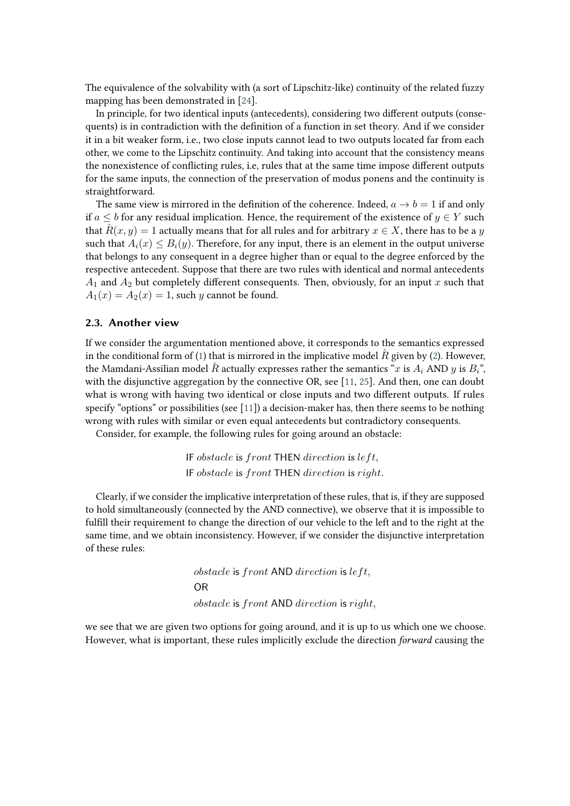The equivalence of the solvability with (a sort of Lipschitz-like) continuity of the related fuzzy mapping has been demonstrated in [\[24\]](#page-8-16).

In principle, for two identical inputs (antecedents), considering two different outputs (consequents) is in contradiction with the definition of a function in set theory. And if we consider it in a bit weaker form, i.e., two close inputs cannot lead to two outputs located far from each other, we come to the Lipschitz continuity. And taking into account that the consistency means the nonexistence of conflicting rules, i.e, rules that at the same time impose different outputs for the same inputs, the connection of the preservation of modus ponens and the continuity is straightforward.

The same view is mirrored in the definition of the coherence. Indeed,  $a \rightarrow b = 1$  if and only if  $a \leq b$  for any residual implication. Hence, the requirement of the existence of  $y \in Y$  such that  $\hat{R}(x, y) = 1$  actually means that for all rules and for arbitrary  $x \in X$ , there has to be a y such that  $A_i(x) \leq B_i(y)$ . Therefore, for any input, there is an element in the output universe that belongs to any consequent in a degree higher than or equal to the degree enforced by the respective antecedent. Suppose that there are two rules with identical and normal antecedents  $A_1$  and  $A_2$  but completely different consequents. Then, obviously, for an input  $x$  such that  $A_1(x) = A_2(x) = 1$ , such y cannot be found.

### **2.3. Another view**

If we consider the argumentation mentioned above, it corresponds to the semantics expressed in the conditional form of [\(1\)](#page-1-0) that is mirrored in the implicative model  $\hat{R}$  given by [\(2\)](#page-1-1). However, the Mamdani-Assilian model  $\check{R}$  actually expresses rather the semantics "x is  $A_i$  AND y is  $B_i$ ", with the disjunctive aggregation by the connective OR, see [\[11,](#page-8-3) [25\]](#page-8-17). And then, one can doubt what is wrong with having two identical or close inputs and two different outputs. If rules specify "options" or possibilities (see [\[11\]](#page-8-3)) a decision-maker has, then there seems to be nothing wrong with rules with similar or even equal antecedents but contradictory consequents.

Consider, for example, the following rules for going around an obstacle:

IF obstacle is  $front$  THEN  $direction$  is  $left, , \right.$ IF obstacle is front THEN direction is right.

Clearly, if we consider the implicative interpretation of these rules, that is, if they are supposed to hold simultaneously (connected by the AND connective), we observe that it is impossible to fulfill their requirement to change the direction of our vehicle to the left and to the right at the same time, and we obtain inconsistency. However, if we consider the disjunctive interpretation of these rules:

> $obstack$  is front AND direction is  $left$ . OR  $obstack$  is  $front$  AND  $direction$  is  $riaht$ .

we see that we are given two options for going around, and it is up to us which one we choose. However, what is important, these rules implicitly exclude the direction *forward* causing the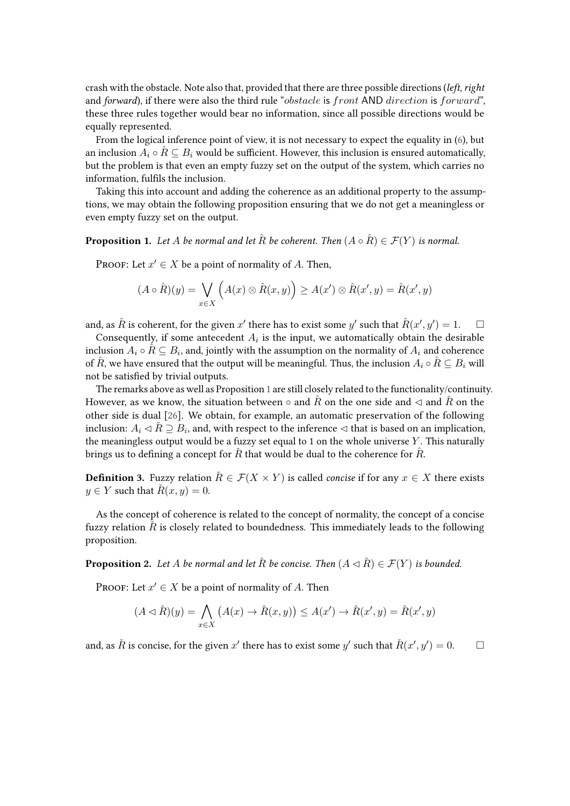crash with the obstacle. Note also that, provided that there are three possible directions (*left*, *right* and *forward*), if there were also the third rule "*obstacle* is front AND direction is forward". these three rules together would bear no information, since all possible directions would be equally represented.

From the logical inference point of view, it is not necessary to expect the equality in [\(6\)](#page-2-1), but an inclusion  $A_i \circ \hat{R} \subseteq B_i$  would be sufficient. However, this inclusion is ensured automatically, but the problem is that even an empty fuzzy set on the output of the system, which carries no information, fulfils the inclusion.

Taking this into account and adding the coherence as an additional property to the assumptions, we may obtain the following proposition ensuring that we do not get a meaningless or even empty fuzzy set on the output.

<span id="page-4-0"></span>**Proposition 1.** Let A be normal and let  $\hat{R}$  be coherent. Then  $(A \circ \hat{R}) \in \mathcal{F}(Y)$  is normal.

PROOF: Let  $x' \in X$  be a point of normality of A. Then,

$$
(A \circ \hat{R})(y) = \bigvee_{x \in X} \left( A(x) \otimes \hat{R}(x, y) \right) \ge A(x') \otimes \hat{R}(x', y) = \hat{R}(x', y)
$$

and, as  $\hat{R}$  is coherent, for the given  $x'$  there has to exist some  $y'$  such that  $\hat{R}(x',y') = 1$ .  $\quad \Box$ 

Consequently, if some antecedent  $A_i$  is the input, we automatically obtain the desirable inclusion  $A_i \circ \hat{R} \subseteq B_i$ , and, jointly with the assumption on the normality of  $A_i$  and coherence of  $\hat{R}$ , we have ensured that the output will be meaningful. Thus, the inclusion  $A_i \circ \hat{R} \subseteq B_i$  will not be satisfied by trivial outputs.

The remarks above as well as Proposition [1](#page-4-0) are still closely related to the functionality/continuity. However, as we know, the situation between ∘ and  $\hat{R}$  on the one side and  $\triangleleft$  and  $\hat{R}$  on the other side is dual [\[26\]](#page-8-18). We obtain, for example, an automatic preservation of the following inclusion:  $A_i \lhd \check{R} \supseteq B_i$ , and, with respect to the inference  $\lhd$  that is based on an implication, the meaningless output would be a fuzzy set equal to 1 on the whole universe  $Y$ . This naturally brings us to defining a concept for  $\tilde{R}$  that would be dual to the coherence for  $\tilde{R}$ .

**Definition 3.** Fuzzy relation  $\check{R} \in \mathcal{F}(X \times Y)$  is called *concise* if for any  $x \in X$  there exists  $y \in Y$  such that  $\check{R}(x, y) = 0$ .

As the concept of coherence is related to the concept of normality, the concept of a concise fuzzy relation  $\tilde{R}$  is closely related to boundedness. This immediately leads to the following proposition.

<span id="page-4-1"></span>**Proposition 2.** Let A be normal and let  $\tilde{R}$  be concise. Then  $(A \triangleleft \tilde{R}) \in \mathcal{F}(Y)$  is bounded.

PROOF: Let  $x' \in X$  be a point of normality of A. Then

$$
(A \triangleleft \check{R})(y) = \bigwedge_{x \in X} (A(x) \to \check{R}(x, y)) \le A(x') \to \check{R}(x', y) = \check{R}(x', y)
$$

and, as  $\check{R}$  is concise, for the given  $x'$  there has to exist some  $y'$  such that  $\check{R}(x', y') = 0$ .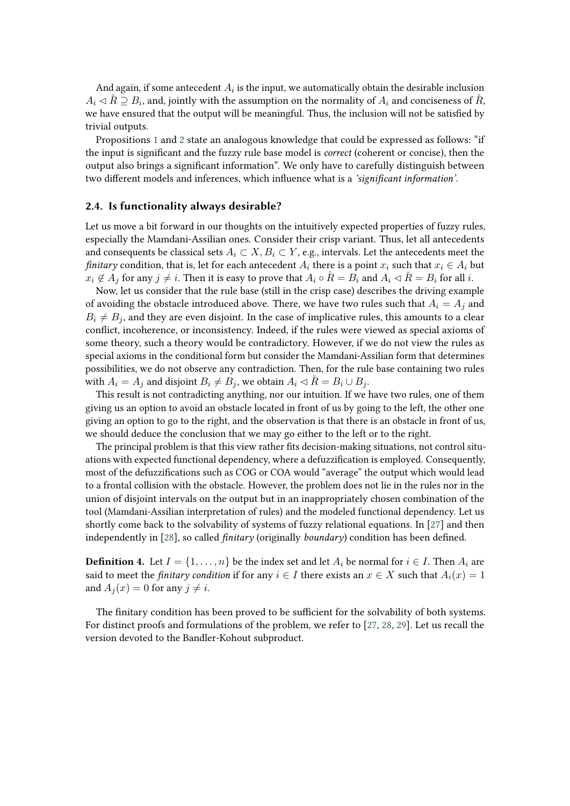And again, if some antecedent  $A_i$  is the input, we automatically obtain the desirable inclusion  $A_i\lhd \check{R} \supseteq B_i$ , and, jointly with the assumption on the normality of  $A_i$  and conciseness of  $\check{R}$ , we have ensured that the output will be meaningful. Thus, the inclusion will not be satisfied by trivial outputs.

Propositions [1](#page-4-0) and [2](#page-4-1) state an analogous knowledge that could be expressed as follows: "if the input is significant and the fuzzy rule base model is *correct* (coherent or concise), then the output also brings a significant information". We only have to carefully distinguish between two different models and inferences, which influence what is a *'significant information'*.

#### **2.4. Is functionality always desirable?**

Let us move a bit forward in our thoughts on the intuitively expected properties of fuzzy rules, especially the Mamdani-Assilian ones. Consider their crisp variant. Thus, let all antecedents and consequents be classical sets  $A_i \subset X, B_i \subset Y$ , e.g., intervals. Let the antecedents meet the *finitary* condition, that is, let for each antecedent  $A_i$  there is a point  $x_i$  such that  $x_i \in A_i$  but  $x_i \notin A_j$  for any  $j \neq i$ . Then it is easy to prove that  $A_i \circ \hat{R} = B_i$  and  $A_i \circ \hat{R} = B_i$  for all i.

Now, let us consider that the rule base (still in the crisp case) describes the driving example of avoiding the obstacle introduced above. There, we have two rules such that  $A_i = A_i$  and  $B_i \neq B_i$ , and they are even disjoint. In the case of implicative rules, this amounts to a clear conflict, incoherence, or inconsistency. Indeed, if the rules were viewed as special axioms of some theory, such a theory would be contradictory. However, if we do not view the rules as special axioms in the conditional form but consider the Mamdani-Assilian form that determines possibilities, we do not observe any contradiction. Then, for the rule base containing two rules with  $A_i = A_j$  and disjoint  $B_i \neq B_j$ , we obtain  $A_i \triangleleft R = B_i \cup B_j$ .

This result is not contradicting anything, nor our intuition. If we have two rules, one of them giving us an option to avoid an obstacle located in front of us by going to the left, the other one giving an option to go to the right, and the observation is that there is an obstacle in front of us, we should deduce the conclusion that we may go either to the left or to the right.

The principal problem is that this view rather fits decision-making situations, not control situations with expected functional dependency, where a defuzzification is employed. Consequently, most of the defuzzifications such as COG or COA would "average" the output which would lead to a frontal collision with the obstacle. However, the problem does not lie in the rules nor in the union of disjoint intervals on the output but in an inappropriately chosen combination of the tool (Mamdani-Assilian interpretation of rules) and the modeled functional dependency. Let us shortly come back to the solvability of systems of fuzzy relational equations. In [\[27\]](#page-8-19) and then independently in [\[28\]](#page-8-20), so called *finitary* (originally *boundary*) condition has been defined.

**Definition 4.** Let  $I = \{1, ..., n\}$  be the index set and let  $A_i$  be normal for  $i \in I$ . Then  $A_i$  are said to meet the *finitary condition* if for any  $i \in I$  there exists an  $x \in X$  such that  $A_i(x) = 1$ and  $A_i(x) = 0$  for any  $j \neq i$ .

<span id="page-5-0"></span>The finitary condition has been proved to be sufficient for the solvability of both systems. For distinct proofs and formulations of the problem, we refer to [\[27,](#page-8-19) [28,](#page-8-20) [29\]](#page-8-21). Let us recall the version devoted to the Bandler-Kohout subproduct.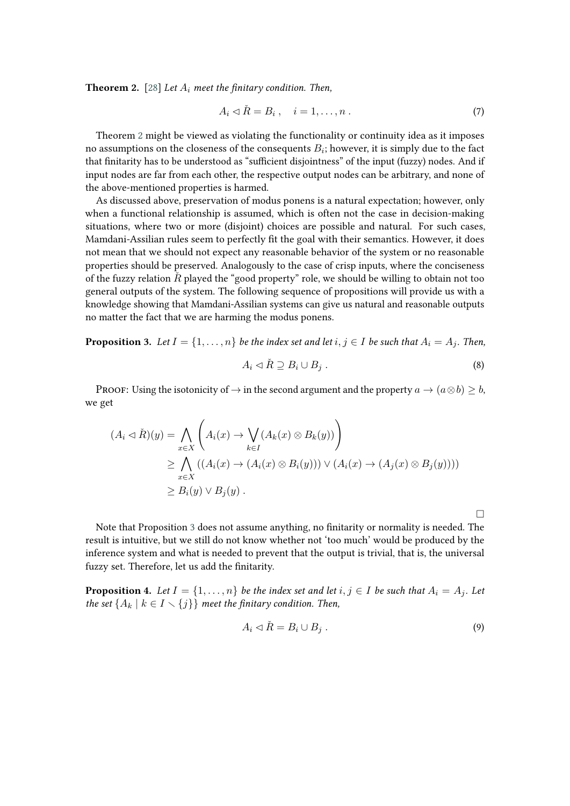**Theorem 2.** [\[28\]](#page-8-20) *Let*  $A_i$  *meet the finitary condition. Then,* 

$$
A_i \triangleleft \check{R} = B_i \,, \quad i = 1, \dots, n \,.
$$

Theorem [2](#page-5-0) might be viewed as violating the functionality or continuity idea as it imposes no assumptions on the closeness of the consequents  $B_i$ ; however, it is simply due to the fact that finitarity has to be understood as "sufficient disjointness" of the input (fuzzy) nodes. And if input nodes are far from each other, the respective output nodes can be arbitrary, and none of the above-mentioned properties is harmed.

As discussed above, preservation of modus ponens is a natural expectation; however, only when a functional relationship is assumed, which is often not the case in decision-making situations, where two or more (disjoint) choices are possible and natural. For such cases, Mamdani-Assilian rules seem to perfectly fit the goal with their semantics. However, it does not mean that we should not expect any reasonable behavior of the system or no reasonable properties should be preserved. Analogously to the case of crisp inputs, where the conciseness of the fuzzy relation  $\check{R}$  played the "good property" role, we should be willing to obtain not too general outputs of the system. The following sequence of propositions will provide us with a knowledge showing that Mamdani-Assilian systems can give us natural and reasonable outputs no matter the fact that we are harming the modus ponens.

<span id="page-6-0"></span>**Proposition 3.** Let  $I = \{1, \ldots, n\}$  be the index set and let  $i, j \in I$  be such that  $A_i = A_j$ . Then,

$$
A_i \lhd \check{R} \supseteq B_i \cup B_j \ . \tag{8}
$$

PROOF: Using the isotonicity of  $\rightarrow$  in the second argument and the property  $a \rightarrow (a \otimes b) > b$ , we get

$$
(A_i \triangleleft \tilde{R})(y) = \bigwedge_{x \in X} \left( A_i(x) \to \bigvee_{k \in I} (A_k(x) \otimes B_k(y)) \right)
$$
  
\n
$$
\geq \bigwedge_{x \in X} ((A_i(x) \to (A_i(x) \otimes B_i(y))) \vee (A_i(x) \to (A_j(x) \otimes B_j(y))))
$$
  
\n
$$
\geq B_i(y) \vee B_j(y).
$$

□

Note that Proposition [3](#page-6-0) does not assume anything, no finitarity or normality is needed. The result is intuitive, but we still do not know whether not 'too much' would be produced by the inference system and what is needed to prevent that the output is trivial, that is, the universal fuzzy set. Therefore, let us add the finitarity.

<span id="page-6-1"></span>**Proposition 4.** Let  $I = \{1, \ldots, n\}$  be the index set and let  $i, j \in I$  be such that  $A_i = A_j$ . Let *the set*  $\{A_k | k \in I \setminus \{j\}\}\$  *meet the finitary condition. Then,* 

$$
A_i \lhd \check{R} = B_i \cup B_j \,. \tag{9}
$$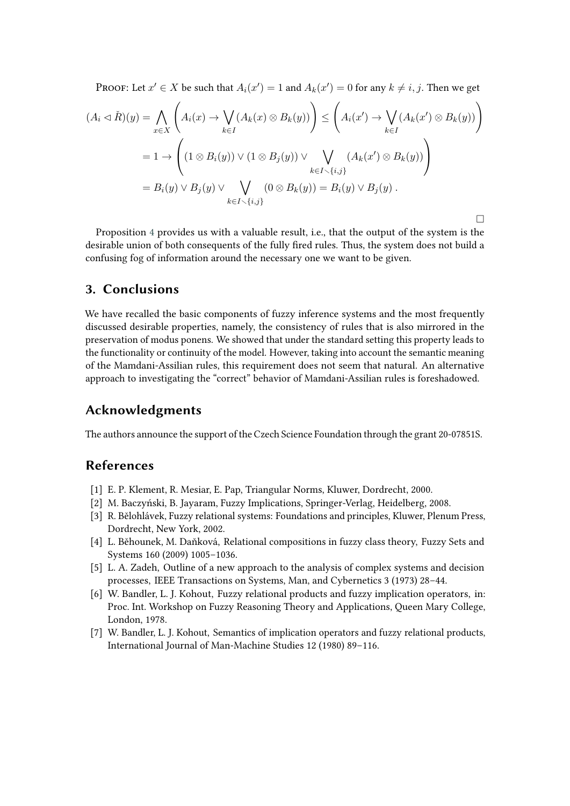PROOF: Let  $x' \in X$  be such that  $A_i(x') = 1$  and  $A_k(x') = 0$  for any  $k \neq i, j$ . Then we get

$$
(A_i \triangleleft \tilde{R})(y) = \bigwedge_{x \in X} \left( A_i(x) \to \bigvee_{k \in I} (A_k(x) \otimes B_k(y)) \right) \le \left( A_i(x') \to \bigvee_{k \in I} (A_k(x') \otimes B_k(y)) \right)
$$
  
=  $1 \to \left( (1 \otimes B_i(y)) \vee (1 \otimes B_j(y)) \vee \bigvee_{k \in I \smallsetminus \{i,j\}} (A_k(x') \otimes B_k(y)) \right)$   
=  $B_i(y) \vee B_j(y) \vee \bigvee_{k \in I \smallsetminus \{i,j\}} (0 \otimes B_k(y)) = B_i(y) \vee B_j(y).$ 

 $\Box$ 

Proposition [4](#page-6-1) provides us with a valuable result, i.e., that the output of the system is the desirable union of both consequents of the fully fired rules. Thus, the system does not build a confusing fog of information around the necessary one we want to be given.

## **3. Conclusions**

We have recalled the basic components of fuzzy inference systems and the most frequently discussed desirable properties, namely, the consistency of rules that is also mirrored in the preservation of modus ponens. We showed that under the standard setting this property leads to the functionality or continuity of the model. However, taking into account the semantic meaning of the Mamdani-Assilian rules, this requirement does not seem that natural. An alternative approach to investigating the "correct" behavior of Mamdani-Assilian rules is foreshadowed.

## **Acknowledgments**

The authors announce the support of the Czech Science Foundation through the grant 20-07851S.

## **References**

- [1] E. P. Klement, R. Mesiar, E. Pap, Triangular Norms, Kluwer, Dordrecht, 2000.
- [2] M. Baczyński, B. Jayaram, Fuzzy Implications, Springer-Verlag, Heidelberg, 2008.
- <span id="page-7-0"></span>[3] R. Bělohlávek, Fuzzy relational systems: Foundations and principles, Kluwer, Plenum Press, Dordrecht, New York, 2002.
- <span id="page-7-1"></span>[4] L. Běhounek, M. Daňková, Relational compositions in fuzzy class theory, Fuzzy Sets and Systems 160 (2009) 1005–1036.
- <span id="page-7-2"></span>[5] L. A. Zadeh, Outline of a new approach to the analysis of complex systems and decision processes, IEEE Transactions on Systems, Man, and Cybernetics 3 (1973) 28–44.
- <span id="page-7-3"></span>[6] W. Bandler, L. J. Kohout, Fuzzy relational products and fuzzy implication operators, in: Proc. Int. Workshop on Fuzzy Reasoning Theory and Applications, Queen Mary College, London, 1978.
- <span id="page-7-4"></span>[7] W. Bandler, L. J. Kohout, Semantics of implication operators and fuzzy relational products, International Journal of Man-Machine Studies 12 (1980) 89–116.